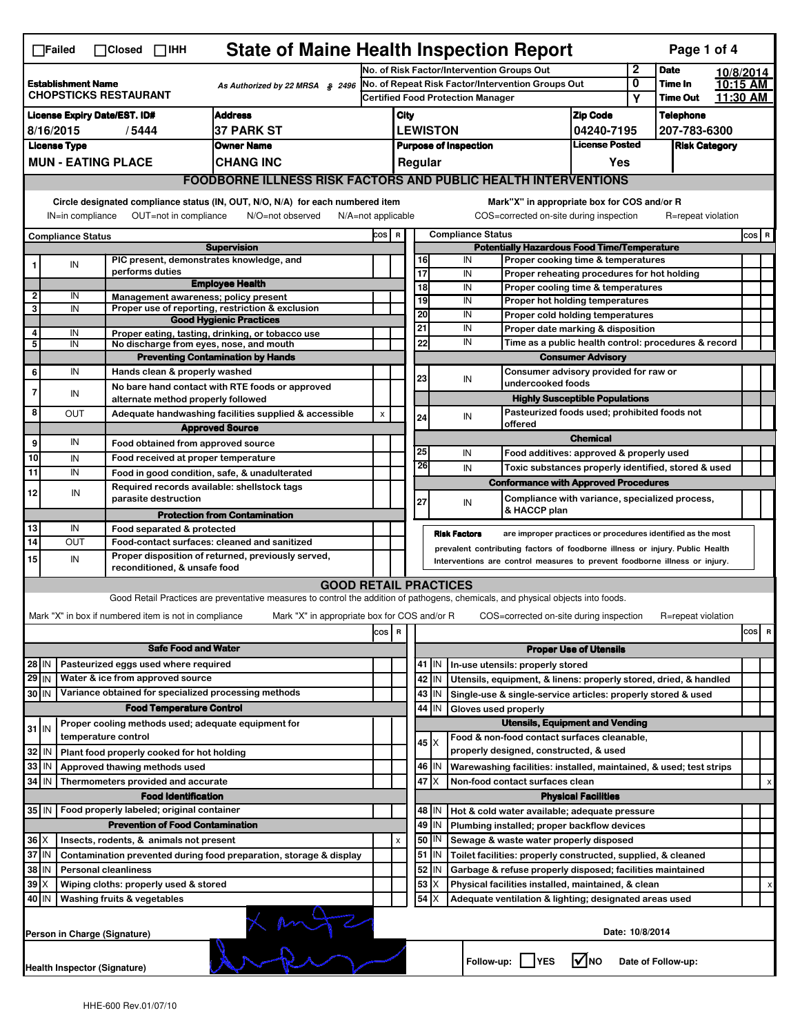| $\Box$ Failed<br>$\Box$ Closed $\Box$ IHH                                                    |                                                                                                                                                 |                                                                     |                                                                                                                                   |                               | <b>State of Maine Health Inspection Report</b><br>Page 1 of 4 |                                        |                                                                                                                                    |                                                                                                                                                            |                                                                       |                            |                      |  |          |  |
|----------------------------------------------------------------------------------------------|-------------------------------------------------------------------------------------------------------------------------------------------------|---------------------------------------------------------------------|-----------------------------------------------------------------------------------------------------------------------------------|-------------------------------|---------------------------------------------------------------|----------------------------------------|------------------------------------------------------------------------------------------------------------------------------------|------------------------------------------------------------------------------------------------------------------------------------------------------------|-----------------------------------------------------------------------|----------------------------|----------------------|--|----------|--|
| <b>Establishment Name</b><br>As Authorized by 22 MRSA \$2496<br><b>CHOPSTICKS RESTAURANT</b> |                                                                                                                                                 |                                                                     | No. of Risk Factor/Intervention Groups Out                                                                                        |                               |                                                               |                                        |                                                                                                                                    | $\mathbf{2}$                                                                                                                                               | <b>Date</b>                                                           | 10/8/2014                  |                      |  |          |  |
|                                                                                              |                                                                                                                                                 |                                                                     | No. of Repeat Risk Factor/Intervention Groups Out<br><b>Certified Food Protection Manager</b>                                     |                               |                                                               |                                        |                                                                                                                                    |                                                                                                                                                            | 0                                                                     | Time In<br><b>Time Out</b> | 10:15 AM<br>11:30 AM |  |          |  |
|                                                                                              |                                                                                                                                                 |                                                                     |                                                                                                                                   |                               |                                                               |                                        |                                                                                                                                    |                                                                                                                                                            |                                                                       | Υ                          |                      |  |          |  |
|                                                                                              |                                                                                                                                                 | <b>License Expiry Date/EST. ID#</b>                                 | <b>Address</b>                                                                                                                    |                               | City                                                          |                                        |                                                                                                                                    |                                                                                                                                                            | <b>Zip Code</b>                                                       |                            | <b>Telephone</b>     |  |          |  |
| 8/16/2015<br><b>37 PARK ST</b><br>/5444                                                      |                                                                                                                                                 |                                                                     |                                                                                                                                   | <b>LEWISTON</b><br>04240-7195 |                                                               |                                        |                                                                                                                                    |                                                                                                                                                            |                                                                       | 207-783-6300               |                      |  |          |  |
| <b>License Type</b><br><b>Owner Name</b>                                                     |                                                                                                                                                 |                                                                     | <b>License Posted</b><br><b>Purpose of Inspection</b><br>Regular                                                                  |                               |                                                               |                                        | <b>Risk Category</b>                                                                                                               |                                                                                                                                                            |                                                                       |                            |                      |  |          |  |
|                                                                                              | <b>MUN - EATING PLACE</b><br><b>CHANG INC</b>                                                                                                   |                                                                     |                                                                                                                                   |                               |                                                               |                                        |                                                                                                                                    |                                                                                                                                                            | Yes                                                                   |                            |                      |  |          |  |
|                                                                                              | <b>FOODBORNE ILLNESS RISK FACTORS AND PUBLIC HEALTH INTERVENTIONS</b>                                                                           |                                                                     |                                                                                                                                   |                               |                                                               |                                        |                                                                                                                                    |                                                                                                                                                            |                                                                       |                            |                      |  |          |  |
|                                                                                              | Circle designated compliance status (IN, OUT, N/O, N/A) for each numbered item<br>OUT=not in compliance<br>N/O=not observed<br>IN=in compliance |                                                                     |                                                                                                                                   |                               |                                                               |                                        | Mark"X" in appropriate box for COS and/or R<br>COS=corrected on-site during inspection<br>R=repeat violation<br>N/A=not applicable |                                                                                                                                                            |                                                                       |                            |                      |  |          |  |
|                                                                                              | <b>Compliance Status</b>                                                                                                                        |                                                                     |                                                                                                                                   | cos                           | <b>Compliance Status</b><br>$\mathbf R$<br>COS R              |                                        |                                                                                                                                    |                                                                                                                                                            |                                                                       |                            |                      |  |          |  |
|                                                                                              |                                                                                                                                                 |                                                                     | <b>Supervision</b>                                                                                                                |                               |                                                               |                                        |                                                                                                                                    | <b>Potentially Hazardous Food Time/Temperature</b>                                                                                                         |                                                                       |                            |                      |  |          |  |
|                                                                                              | IN                                                                                                                                              | PIC present, demonstrates knowledge, and                            |                                                                                                                                   |                               |                                                               | 16                                     |                                                                                                                                    | IN                                                                                                                                                         | Proper cooking time & temperatures                                    |                            |                      |  |          |  |
|                                                                                              |                                                                                                                                                 | performs duties                                                     | <b>Employee Health</b>                                                                                                            |                               |                                                               | 17<br>$\overline{18}$                  |                                                                                                                                    | IN                                                                                                                                                         | Proper reheating procedures for hot holding                           |                            |                      |  |          |  |
| $\overline{\mathbf{2}}$                                                                      | IN                                                                                                                                              | Management awareness; policy present                                |                                                                                                                                   |                               |                                                               | 19                                     |                                                                                                                                    | IN<br>IN                                                                                                                                                   | Proper cooling time & temperatures<br>Proper hot holding temperatures |                            |                      |  |          |  |
| 3                                                                                            | IN                                                                                                                                              |                                                                     | Proper use of reporting, restriction & exclusion                                                                                  |                               |                                                               | 20                                     |                                                                                                                                    | IN                                                                                                                                                         | Proper cold holding temperatures                                      |                            |                      |  |          |  |
|                                                                                              |                                                                                                                                                 |                                                                     | <b>Good Hygienic Practices</b>                                                                                                    |                               |                                                               | 21                                     |                                                                                                                                    | IN                                                                                                                                                         | Proper date marking & disposition                                     |                            |                      |  |          |  |
| 4<br>5                                                                                       | IN<br>IN                                                                                                                                        | No discharge from eyes, nose, and mouth                             | Proper eating, tasting, drinking, or tobacco use                                                                                  |                               |                                                               | 22                                     |                                                                                                                                    | IN                                                                                                                                                         | Time as a public health control: procedures & record                  |                            |                      |  |          |  |
|                                                                                              |                                                                                                                                                 |                                                                     | <b>Preventing Contamination by Hands</b>                                                                                          |                               |                                                               |                                        |                                                                                                                                    |                                                                                                                                                            | <b>Consumer Advisory</b>                                              |                            |                      |  |          |  |
| 6                                                                                            | IN                                                                                                                                              | Hands clean & properly washed                                       |                                                                                                                                   |                               |                                                               |                                        |                                                                                                                                    |                                                                                                                                                            | Consumer advisory provided for raw or                                 |                            |                      |  |          |  |
| $\overline{7}$                                                                               |                                                                                                                                                 |                                                                     | No bare hand contact with RTE foods or approved                                                                                   |                               |                                                               | 23                                     |                                                                                                                                    | IN<br>undercooked foods                                                                                                                                    |                                                                       |                            |                      |  |          |  |
|                                                                                              | IN                                                                                                                                              | alternate method properly followed                                  |                                                                                                                                   |                               |                                                               |                                        |                                                                                                                                    |                                                                                                                                                            | <b>Highly Susceptible Populations</b>                                 |                            |                      |  |          |  |
| 8                                                                                            | OUT                                                                                                                                             |                                                                     | Adequate handwashing facilities supplied & accessible                                                                             | X                             |                                                               | 24                                     |                                                                                                                                    | IN                                                                                                                                                         | Pasteurized foods used; prohibited foods not                          |                            |                      |  |          |  |
|                                                                                              |                                                                                                                                                 |                                                                     | <b>Approved Source</b>                                                                                                            |                               |                                                               |                                        |                                                                                                                                    | offered                                                                                                                                                    | <b>Chemical</b>                                                       |                            |                      |  |          |  |
| 9                                                                                            | IN                                                                                                                                              | Food obtained from approved source                                  |                                                                                                                                   |                               |                                                               | 25                                     |                                                                                                                                    | IN                                                                                                                                                         | Food additives: approved & properly used                              |                            |                      |  |          |  |
| 10                                                                                           | IN                                                                                                                                              | Food received at proper temperature                                 |                                                                                                                                   |                               |                                                               | 26                                     |                                                                                                                                    | IN                                                                                                                                                         | Toxic substances properly identified, stored & used                   |                            |                      |  |          |  |
| $\overline{11}$                                                                              | IN                                                                                                                                              |                                                                     | Food in good condition, safe, & unadulterated                                                                                     |                               |                                                               |                                        |                                                                                                                                    |                                                                                                                                                            | <b>Conformance with Approved Procedures</b>                           |                            |                      |  |          |  |
| 12                                                                                           | IN                                                                                                                                              | Required records available: shellstock tags<br>parasite destruction |                                                                                                                                   |                               |                                                               |                                        |                                                                                                                                    |                                                                                                                                                            | Compliance with variance, specialized process,                        |                            |                      |  |          |  |
|                                                                                              |                                                                                                                                                 |                                                                     | <b>Protection from Contamination</b>                                                                                              |                               |                                                               | 27                                     |                                                                                                                                    | IN<br>& HACCP plan                                                                                                                                         |                                                                       |                            |                      |  |          |  |
| 13                                                                                           | IN                                                                                                                                              | Food separated & protected                                          |                                                                                                                                   |                               |                                                               |                                        |                                                                                                                                    |                                                                                                                                                            |                                                                       |                            |                      |  |          |  |
| 14                                                                                           | OUT                                                                                                                                             |                                                                     | Food-contact surfaces: cleaned and sanitized                                                                                      |                               |                                                               |                                        | <b>Risk Factors</b>                                                                                                                |                                                                                                                                                            | are improper practices or procedures identified as the most           |                            |                      |  |          |  |
| 15                                                                                           | IN                                                                                                                                              |                                                                     | Proper disposition of returned, previously served,                                                                                |                               |                                                               |                                        |                                                                                                                                    | prevalent contributing factors of foodborne illness or injury. Public Health<br>Interventions are control measures to prevent foodborne illness or injury. |                                                                       |                            |                      |  |          |  |
|                                                                                              |                                                                                                                                                 | reconditioned, & unsafe food                                        |                                                                                                                                   |                               |                                                               |                                        |                                                                                                                                    |                                                                                                                                                            |                                                                       |                            |                      |  |          |  |
|                                                                                              |                                                                                                                                                 |                                                                     | <b>GOOD RETAIL PRACTICES</b>                                                                                                      |                               |                                                               |                                        |                                                                                                                                    |                                                                                                                                                            |                                                                       |                            |                      |  |          |  |
|                                                                                              |                                                                                                                                                 |                                                                     | Good Retail Practices are preventative measures to control the addition of pathogens, chemicals, and physical objects into foods. |                               |                                                               |                                        |                                                                                                                                    |                                                                                                                                                            |                                                                       |                            |                      |  |          |  |
|                                                                                              |                                                                                                                                                 | Mark "X" in box if numbered item is not in compliance               | Mark "X" in appropriate box for COS and/or R                                                                                      |                               |                                                               |                                        |                                                                                                                                    | COS=corrected on-site during inspection                                                                                                                    |                                                                       |                            | R=repeat violation   |  |          |  |
|                                                                                              |                                                                                                                                                 |                                                                     |                                                                                                                                   | cos R                         |                                                               |                                        |                                                                                                                                    |                                                                                                                                                            |                                                                       |                            |                      |  | cos<br>R |  |
| <b>Safe Food and Water</b>                                                                   |                                                                                                                                                 |                                                                     |                                                                                                                                   |                               |                                                               |                                        |                                                                                                                                    | <b>Proper Use of Utensils</b>                                                                                                                              |                                                                       |                            |                      |  |          |  |
| Pasteurized eggs used where required<br>$28$ IN                                              |                                                                                                                                                 |                                                                     |                                                                                                                                   |                               | 41                                                            | IN                                     | In-use utensils: properly stored                                                                                                   |                                                                                                                                                            |                                                                       |                            |                      |  |          |  |
| $29$ IN                                                                                      |                                                                                                                                                 | Water & ice from approved source                                    |                                                                                                                                   |                               |                                                               |                                        | 42 IN                                                                                                                              | Utensils, equipment, & linens: properly stored, dried, & handled                                                                                           |                                                                       |                            |                      |  |          |  |
| 30 IN                                                                                        |                                                                                                                                                 | Variance obtained for specialized processing methods                |                                                                                                                                   |                               |                                                               |                                        | $43$ IN                                                                                                                            | Single-use & single-service articles: properly stored & used                                                                                               |                                                                       |                            |                      |  |          |  |
|                                                                                              |                                                                                                                                                 | <b>Food Temperature Control</b>                                     |                                                                                                                                   |                               |                                                               | 44                                     | IN                                                                                                                                 | Gloves used properly                                                                                                                                       |                                                                       |                            |                      |  |          |  |
| $31$ IN                                                                                      |                                                                                                                                                 | Proper cooling methods used; adequate equipment for                 |                                                                                                                                   |                               |                                                               | <b>Utensils, Equipment and Vending</b> |                                                                                                                                    |                                                                                                                                                            |                                                                       |                            |                      |  |          |  |
|                                                                                              |                                                                                                                                                 | temperature control                                                 |                                                                                                                                   |                               |                                                               |                                        | 45   X                                                                                                                             | Food & non-food contact surfaces cleanable,                                                                                                                |                                                                       |                            |                      |  |          |  |
| 32<br>IN                                                                                     |                                                                                                                                                 |                                                                     |                                                                                                                                   |                               |                                                               |                                        |                                                                                                                                    | properly designed, constructed, & used                                                                                                                     |                                                                       |                            |                      |  |          |  |
| 33<br>IN                                                                                     |                                                                                                                                                 | Plant food properly cooked for hot holding                          |                                                                                                                                   |                               |                                                               |                                        |                                                                                                                                    |                                                                                                                                                            |                                                                       |                            |                      |  |          |  |
| 34<br>l IN<br>Thermometers provided and accurate                                             |                                                                                                                                                 |                                                                     |                                                                                                                                   |                               |                                                               |                                        | 46 IN                                                                                                                              | Warewashing facilities: installed, maintained, & used; test strips                                                                                         |                                                                       |                            |                      |  |          |  |
|                                                                                              |                                                                                                                                                 | Approved thawing methods used                                       |                                                                                                                                   |                               |                                                               | 47                                     | ΙX                                                                                                                                 | Non-food contact surfaces clean                                                                                                                            |                                                                       |                            |                      |  |          |  |
|                                                                                              |                                                                                                                                                 | <b>Food Identification</b>                                          |                                                                                                                                   |                               |                                                               |                                        |                                                                                                                                    |                                                                                                                                                            | <b>Physical Facilities</b>                                            |                            |                      |  |          |  |
| 35 IN                                                                                        |                                                                                                                                                 | Food properly labeled; original container                           |                                                                                                                                   |                               |                                                               |                                        | 48   IN                                                                                                                            | Hot & cold water available; adequate pressure                                                                                                              |                                                                       |                            |                      |  |          |  |
|                                                                                              |                                                                                                                                                 | <b>Prevention of Food Contamination</b>                             |                                                                                                                                   |                               |                                                               | 49                                     | IN                                                                                                                                 | Plumbing installed; proper backflow devices                                                                                                                |                                                                       |                            |                      |  |          |  |
| $36 \times$                                                                                  |                                                                                                                                                 | Insects, rodents, & animals not present                             |                                                                                                                                   |                               | X                                                             | 50                                     | IN                                                                                                                                 | Sewage & waste water properly disposed                                                                                                                     |                                                                       |                            |                      |  |          |  |
| 37 IN                                                                                        |                                                                                                                                                 |                                                                     | Contamination prevented during food preparation, storage & display                                                                |                               |                                                               |                                        | $51$ $\vert$ IN                                                                                                                    | Toilet facilities: properly constructed, supplied, & cleaned                                                                                               |                                                                       |                            |                      |  |          |  |
| 38<br>IN                                                                                     |                                                                                                                                                 | <b>Personal cleanliness</b>                                         |                                                                                                                                   |                               |                                                               | 52                                     | IN                                                                                                                                 | Garbage & refuse properly disposed; facilities maintained                                                                                                  |                                                                       |                            |                      |  |          |  |
| 39<br>ΙX                                                                                     |                                                                                                                                                 | Wiping cloths: properly used & stored                               |                                                                                                                                   |                               |                                                               | 53                                     | X                                                                                                                                  | Physical facilities installed, maintained, & clean                                                                                                         |                                                                       |                            |                      |  |          |  |
| 40 IN                                                                                        |                                                                                                                                                 | Washing fruits & vegetables                                         |                                                                                                                                   |                               |                                                               | 54                                     | ΙX                                                                                                                                 | Adequate ventilation & lighting; designated areas used                                                                                                     |                                                                       |                            |                      |  |          |  |
|                                                                                              | Person in Charge (Signature)                                                                                                                    |                                                                     | $X$ my $C$                                                                                                                        |                               |                                                               |                                        |                                                                                                                                    |                                                                                                                                                            |                                                                       | Date: 10/8/2014            |                      |  |          |  |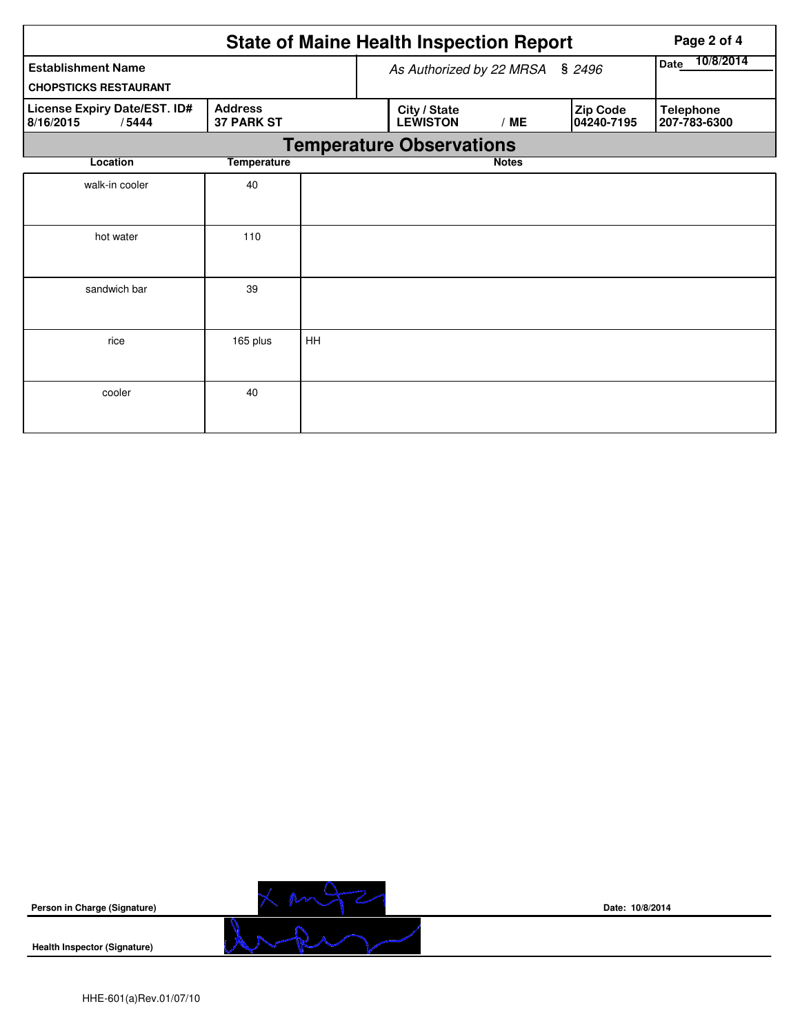|                                                           |                                     |                   | <b>State of Maine Health Inspection Report</b> | Page 2 of 4  |                               |                                  |  |  |  |
|-----------------------------------------------------------|-------------------------------------|-------------------|------------------------------------------------|--------------|-------------------------------|----------------------------------|--|--|--|
| <b>Establishment Name</b><br><b>CHOPSTICKS RESTAURANT</b> | As Authorized by 22 MRSA            | 10/8/2014<br>Date |                                                |              |                               |                                  |  |  |  |
| License Expiry Date/EST. ID#<br>8/16/2015<br>/5444        | <b>Address</b><br><b>37 PARK ST</b> |                   | City / State<br><b>LEWISTON</b>                | /ME          | <b>Zip Code</b><br>04240-7195 | <b>Telephone</b><br>207-783-6300 |  |  |  |
|                                                           | <b>Temperature Observations</b>     |                   |                                                |              |                               |                                  |  |  |  |
| Location                                                  | <b>Temperature</b>                  |                   |                                                | <b>Notes</b> |                               |                                  |  |  |  |
| walk-in cooler                                            | 40                                  |                   |                                                |              |                               |                                  |  |  |  |
| hot water                                                 | 110                                 |                   |                                                |              |                               |                                  |  |  |  |
| sandwich bar                                              | 39                                  |                   |                                                |              |                               |                                  |  |  |  |
| rice                                                      | 165 plus                            | HH                |                                                |              |                               |                                  |  |  |  |
| cooler                                                    | 40                                  |                   |                                                |              |                               |                                  |  |  |  |



**Date: 10/8/2014**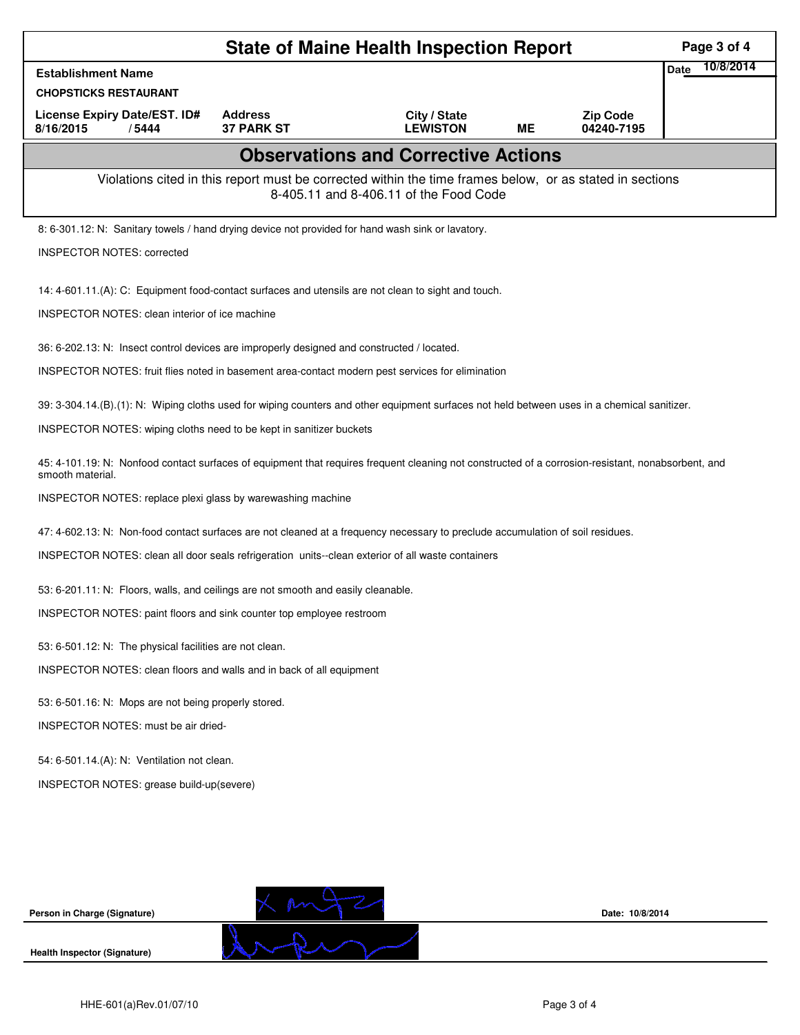|                                                                                                                                                                        |                   | <b>State of Maine Health Inspection Report</b>                                                                                                     |           |                               | Page 3 of 4              |
|------------------------------------------------------------------------------------------------------------------------------------------------------------------------|-------------------|----------------------------------------------------------------------------------------------------------------------------------------------------|-----------|-------------------------------|--------------------------|
| <b>Establishment Name</b>                                                                                                                                              |                   |                                                                                                                                                    |           |                               | 10/8/2014<br><b>Date</b> |
| <b>CHOPSTICKS RESTAURANT</b><br>License Expiry Date/EST. ID#                                                                                                           | <b>Address</b>    |                                                                                                                                                    |           |                               |                          |
| 8/16/2015<br>/5444                                                                                                                                                     | <b>37 PARK ST</b> | City / State<br><b>LEWISTON</b>                                                                                                                    | <b>ME</b> | <b>Zip Code</b><br>04240-7195 |                          |
|                                                                                                                                                                        |                   | <b>Observations and Corrective Actions</b>                                                                                                         |           |                               |                          |
|                                                                                                                                                                        |                   | Violations cited in this report must be corrected within the time frames below, or as stated in sections<br>8-405.11 and 8-406.11 of the Food Code |           |                               |                          |
| 8: 6-301.12: N: Sanitary towels / hand drying device not provided for hand wash sink or lavatory.                                                                      |                   |                                                                                                                                                    |           |                               |                          |
| <b>INSPECTOR NOTES: corrected</b>                                                                                                                                      |                   |                                                                                                                                                    |           |                               |                          |
| 14: 4-601.11.(A): C: Equipment food-contact surfaces and utensils are not clean to sight and touch.                                                                    |                   |                                                                                                                                                    |           |                               |                          |
| <b>INSPECTOR NOTES: clean interior of ice machine</b>                                                                                                                  |                   |                                                                                                                                                    |           |                               |                          |
| 36: 6-202.13: N: Insect control devices are improperly designed and constructed / located.                                                                             |                   |                                                                                                                                                    |           |                               |                          |
| INSPECTOR NOTES: fruit flies noted in basement area-contact modern pest services for elimination                                                                       |                   |                                                                                                                                                    |           |                               |                          |
| 39: 3-304.14.(B).(1): N: Wiping cloths used for wiping counters and other equipment surfaces not held between uses in a chemical sanitizer.                            |                   |                                                                                                                                                    |           |                               |                          |
| INSPECTOR NOTES: wiping cloths need to be kept in sanitizer buckets                                                                                                    |                   |                                                                                                                                                    |           |                               |                          |
| 45: 4-101.19: N: Nonfood contact surfaces of equipment that requires frequent cleaning not constructed of a corrosion-resistant, nonabsorbent, and<br>smooth material. |                   |                                                                                                                                                    |           |                               |                          |
| INSPECTOR NOTES: replace plexi glass by warewashing machine                                                                                                            |                   |                                                                                                                                                    |           |                               |                          |
| 47: 4-602.13: N: Non-food contact surfaces are not cleaned at a frequency necessary to preclude accumulation of soil residues.                                         |                   |                                                                                                                                                    |           |                               |                          |
| INSPECTOR NOTES: clean all door seals refrigeration units--clean exterior of all waste containers                                                                      |                   |                                                                                                                                                    |           |                               |                          |
| 53: 6-201.11: N: Floors, walls, and ceilings are not smooth and easily cleanable.                                                                                      |                   |                                                                                                                                                    |           |                               |                          |
| INSPECTOR NOTES: paint floors and sink counter top employee restroom                                                                                                   |                   |                                                                                                                                                    |           |                               |                          |
| 53: 6-501.12: N: The physical facilities are not clean.                                                                                                                |                   |                                                                                                                                                    |           |                               |                          |
| INSPECTOR NOTES: clean floors and walls and in back of all equipment                                                                                                   |                   |                                                                                                                                                    |           |                               |                          |
| 53: 6-501.16: N: Mops are not being properly stored.                                                                                                                   |                   |                                                                                                                                                    |           |                               |                          |
| <b>INSPECTOR NOTES: must be air dried-</b>                                                                                                                             |                   |                                                                                                                                                    |           |                               |                          |
| 54: 6-501.14.(A): N: Ventilation not clean.                                                                                                                            |                   |                                                                                                                                                    |           |                               |                          |
| INSPECTOR NOTES: grease build-up(severe)                                                                                                                               |                   |                                                                                                                                                    |           |                               |                          |
|                                                                                                                                                                        |                   |                                                                                                                                                    |           |                               |                          |
|                                                                                                                                                                        |                   |                                                                                                                                                    |           |                               |                          |
|                                                                                                                                                                        |                   |                                                                                                                                                    |           |                               |                          |
|                                                                                                                                                                        |                   |                                                                                                                                                    |           |                               |                          |
| Person in Charge (Signature)                                                                                                                                           | $X$ m             |                                                                                                                                                    |           | Date: 10/8/2014               |                          |
| <b>Health Inspector (Signature)</b>                                                                                                                                    |                   |                                                                                                                                                    |           |                               |                          |